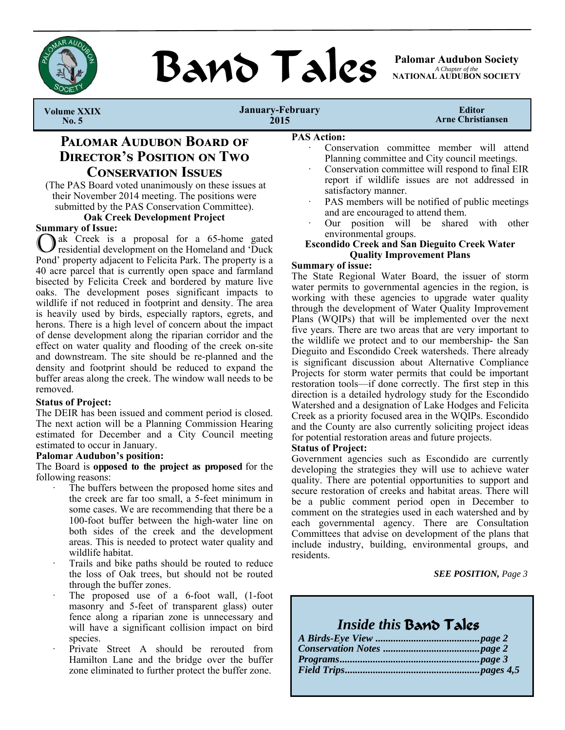

**BAND TAILS** Palomar Audubon Society

*A Chapter of the*  **NATIONAL AUDUBON SOCIETY** 

 **Volume XXIX No. 5** 

**January-February 2015** 

**Editor Arne Christiansen** 

## **PALOMAR AUDUBON BOARD OF DIRECTOR'S POSITION ON TWO CONSERVATION ISSUES**

(The PAS Board voted unanimously on these issues at their November 2014 meeting. The positions were submitted by the PAS Conservation Committee).

### **Oak Creek Development Project**

### **Summary of Issue:**

ak Creek is a proposal for a 65-home gated residential development on the Homeland and 'Duck Pond' property adjacent to Felicita Park. The property is a 40 acre parcel that is currently open space and farmland bisected by Felicita Creek and bordered by mature live oaks. The development poses significant impacts to wildlife if not reduced in footprint and density. The area is heavily used by birds, especially raptors, egrets, and herons. There is a high level of concern about the impact of dense development along the riparian corridor and the effect on water quality and flooding of the creek on-site and downstream. The site should be re-planned and the density and footprint should be reduced to expand the buffer areas along the creek. The window wall needs to be removed.

### **Status of Project:**

The DEIR has been issued and comment period is closed. The next action will be a Planning Commission Hearing estimated for December and a City Council meeting estimated to occur in January.

### **Palomar Audubon's position:**

The Board is **opposed to the project as proposed** for the following reasons:

- The buffers between the proposed home sites and the creek are far too small, a 5-feet minimum in some cases. We are recommending that there be a 100-foot buffer between the high-water line on both sides of the creek and the development areas. This is needed to protect water quality and wildlife habitat.
- Trails and bike paths should be routed to reduce the loss of Oak trees, but should not be routed through the buffer zones.
- The proposed use of a 6-foot wall, (1-foot masonry and 5-feet of transparent glass) outer fence along a riparian zone is unnecessary and will have a significant collision impact on bird species.
- Private Street A should be rerouted from Hamilton Lane and the bridge over the buffer zone eliminated to further protect the buffer zone.

### **PAS Action:**

- Conservation committee member will attend Planning committee and City council meetings.
- Conservation committee will respond to final EIR report if wildlife issues are not addressed in satisfactory manner.
- PAS members will be notified of public meetings and are encouraged to attend them.
- Our position will be shared with other environmental groups.

### **Escondido Creek and San Dieguito Creek Water Quality Improvement Plans**

### **Summary of issue:**

The State Regional Water Board, the issuer of storm water permits to governmental agencies in the region, is working with these agencies to upgrade water quality through the development of Water Quality Improvement Plans (WQIPs) that will be implemented over the next five years. There are two areas that are very important to the wildlife we protect and to our membership- the San Dieguito and Escondido Creek watersheds. There already is significant discussion about Alternative Compliance Projects for storm water permits that could be important restoration tools—if done correctly. The first step in this direction is a detailed hydrology study for the Escondido Watershed and a designation of Lake Hodges and Felicita Creek as a priority focused area in the WQIPs. Escondido and the County are also currently soliciting project ideas for potential restoration areas and future projects.

### **Status of Project:**

Government agencies such as Escondido are currently developing the strategies they will use to achieve water quality. There are potential opportunities to support and secure restoration of creeks and habitat areas. There will be a public comment period open in December to comment on the strategies used in each watershed and by each governmental agency. There are Consultation Committees that advise on development of the plans that include industry, building, environmental groups, and residents.

### *SEE POSITION, Page 3*

## *Inside this* Band Tales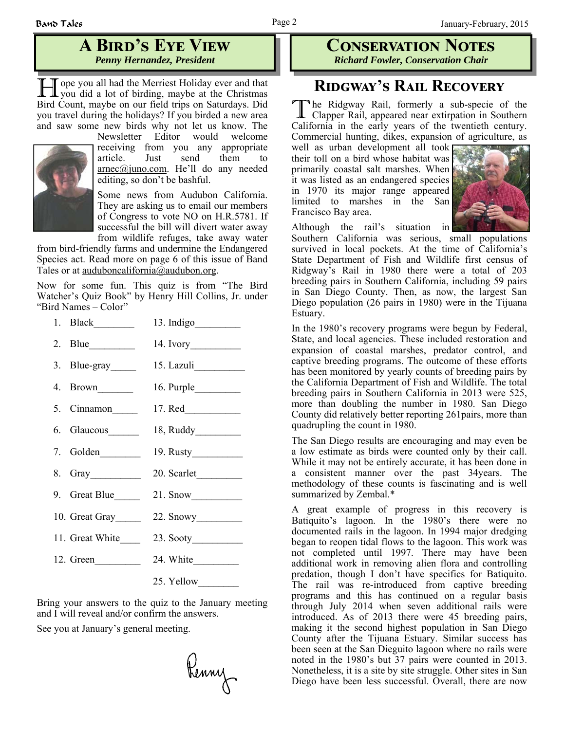## **A BIRD'S EYE VIEW** *Penny Hernandez, President*

**H** ope you all had the Merriest Holiday ever and that you did a lot of birding, maybe at the Christmas Bird Count, maybe on our field trips on Saturdays. Did you travel during the holidays? If you birded a new area and saw some new birds why not let us know. The



Newsletter Editor would welcome receiving from you any appropriate article. Just send them to arnec@juno.com. He'll do any needed editing, so don't be bashful.

Some news from Audubon California. They are asking us to email our members of Congress to vote NO on H.R.5781. If successful the bill will divert water away from wildlife refuges, take away water

from bird-friendly farms and undermine the Endangered Species act. Read more on page 6 of this issue of Band Tales or at <u>auduboncalifornia@audubon.org</u>.

Now for some fun. This quiz is from "The Bird Watcher's Quiz Book" by Henry Hill Collins, Jr. under "Bird Names – Color"

|                   | 13. Indigo               |
|-------------------|--------------------------|
| 2. Blue           |                          |
|                   | 3. Blue-gray 15. Lazuli  |
| 4. Brown          |                          |
|                   | 5. Cinnamon 17. Red      |
| 6. Glaucous______ |                          |
| 7. Golden         |                          |
|                   | 20. Scarlet              |
| 9. Great Blue     | $21.$ Snow               |
|                   | 10. Great Gray 22. Snowy |
| 11. Great White   |                          |
| 12. Green         |                          |
|                   | 25. Yellow               |

Bring your answers to the quiz to the January meeting and I will reveal and/or confirm the answers.

See you at January's general meeting.

Renny

### **CONSERVATION NOTES** *Richard Fowler, Conservation Chair*

## **RIDGWAY'S RAIL RECOVERY**

T he Ridgway Rail, formerly a sub-specie of the Clapper Rail, appeared near extirpation in Southern California in the early years of the twentieth century. Commercial hunting, dikes, expansion of agriculture, as

well as urban development all took their toll on a bird whose habitat was primarily coastal salt marshes. When it was listed as an endangered species in 1970 its major range appeared limited to marshes in the San Francisco Bay area.



Although the rail's situation in

Southern California was serious, small populations survived in local pockets. At the time of California's State Department of Fish and Wildlife first census of Ridgway's Rail in 1980 there were a total of 203 breeding pairs in Southern California, including 59 pairs in San Diego County. Then, as now, the largest San Diego population (26 pairs in 1980) were in the Tijuana Estuary.

In the 1980's recovery programs were begun by Federal, State, and local agencies. These included restoration and expansion of coastal marshes, predator control, and captive breeding programs. The outcome of these efforts has been monitored by yearly counts of breeding pairs by the California Department of Fish and Wildlife. The total breeding pairs in Southern California in 2013 were 525, more than doubling the number in 1980. San Diego County did relatively better reporting 261pairs, more than quadrupling the count in 1980.

The San Diego results are encouraging and may even be a low estimate as birds were counted only by their call. While it may not be entirely accurate, it has been done in a consistent manner over the past 34years. The methodology of these counts is fascinating and is well summarized by Zembal.\*

A great example of progress in this recovery is Batiquito's lagoon. In the 1980's there were no documented rails in the lagoon. In 1994 major dredging began to reopen tidal flows to the lagoon. This work was not completed until 1997. There may have been additional work in removing alien flora and controlling predation, though I don't have specifics for Batiquito. The rail was re-introduced from captive breeding programs and this has continued on a regular basis through July 2014 when seven additional rails were introduced. As of 2013 there were 45 breeding pairs, making it the second highest population in San Diego County after the Tijuana Estuary. Similar success has been seen at the San Dieguito lagoon where no rails were noted in the 1980's but 37 pairs were counted in 2013. Nonetheless, it is a site by site struggle. Other sites in San Diego have been less successful. Overall, there are now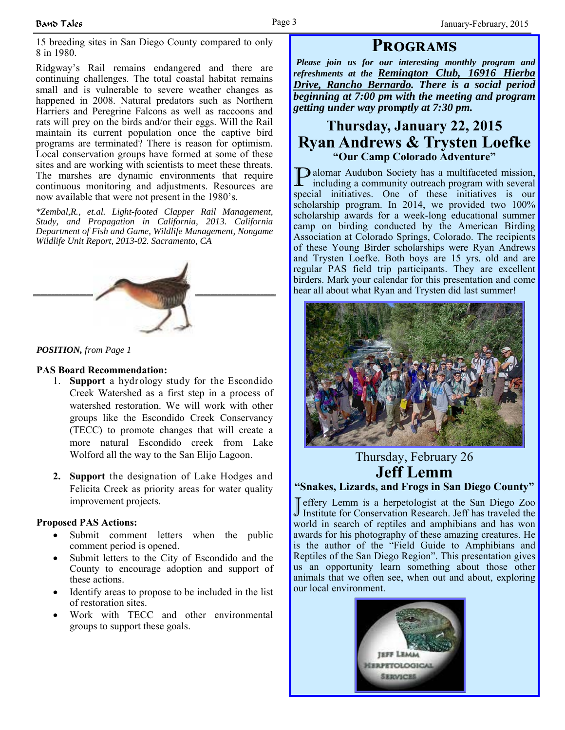15 breeding sites in San Diego County compared to only 8 in 1980.

Ridgway's Rail remains endangered and there are continuing challenges. The total coastal habitat remains small and is vulnerable to severe weather changes as happened in 2008. Natural predators such as Northern Harriers and Peregrine Falcons as well as raccoons and rats will prey on the birds and/or their eggs. Will the Rail maintain its current population once the captive bird programs are terminated? There is reason for optimism. Local conservation groups have formed at some of these sites and are working with scientists to meet these threats. The marshes are dynamic environments that require continuous monitoring and adjustments. Resources are now available that were not present in the 1980's.

*\*Zembal,R., et.al. Light-footed Clapper Rail Management, Study, and Propagation in California, 2013. California Department of Fish and Game, Wildlife Management, Nongame Wildlife Unit Report, 2013-02. Sacramento, CA* 



*POSITION, from Page 1*

### **PAS Board Recommendation:**

- 1. **Support** a hydrology study for the Escondido Creek Watershed as a first step in a process of watershed restoration. We will work with other groups like the Escondido Creek Conservancy (TECC) to promote changes that will create a more natural Escondido creek from Lake Wolford all the way to the San Elijo Lagoon.
- **2. Support** the designation of Lake Hodges and Felicita Creek as priority areas for water quality improvement projects.

### **Proposed PAS Actions:**

- Submit comment letters when the public comment period is opened.
- Submit letters to the City of Escondido and the County to encourage adoption and support of these actions.
- Identify areas to propose to be included in the list of restoration sites.
- Work with TECC and other environmental groups to support these goals.

## **PROGRAMS**

*Please join us for our interesting monthly program and refreshments at the Remington Club, 16916 Hierba Drive, Rancho Bernardo. There is a social period beginning at 7:00 pm with the meeting and program getting under way p***rom***ptly at 7:30 pm.*

## **Thursday, January 22, 2015 Ryan Andrews & Trysten Loefke "Our Camp Colorado Adventure"**

P alomar Audubon Society has a multifaceted mission, including a community outreach program with several special initiatives. One of these initiatives is our scholarship program. In 2014, we provided two 100% scholarship awards for a week-long educational summer camp on birding conducted by the American Birding Association at Colorado Springs, Colorado. The recipients of these Young Birder scholarships were Ryan Andrews and Trysten Loefke. Both boys are 15 yrs. old and are regular PAS field trip participants. They are excellent birders. Mark your calendar for this presentation and come hear all about what Ryan and Trysten did last summer!



### Thursday, February 26 **Jeff Lemm "Snakes, Lizards, and Frogs in San Diego County"**

J effery Lemm is a herpetologist at the San Diego Zoo Institute for Conservation Research. Jeff has traveled the world in search of reptiles and amphibians and has won awards for his photography of these amazing creatures. He is the author of the "Field Guide to Amphibians and Reptiles of the San Diego Region". This presentation gives us an opportunity learn something about those other animals that we often see, when out and about, exploring our local environment.

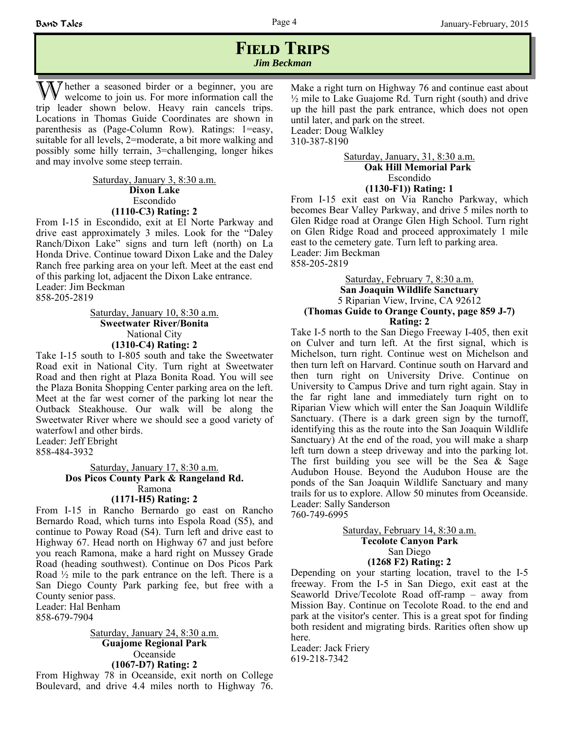### **FIELD TRIPS** *Jim Beckman*

The ther a seasoned birder or a beginner, you are welcome to join us. For more information call the trip leader shown below. Heavy rain cancels trips. Locations in Thomas Guide Coordinates are shown in parenthesis as (Page-Column Row). Ratings: 1=easy, suitable for all levels, 2=moderate, a bit more walking and possibly some hilly terrain, 3=challenging, longer hikes and may involve some steep terrain.

> Saturday, January 3, 8:30 a.m. **Dixon Lake** Escondido **(1110-C3) Rating: 2**

From I-15 in Escondido, exit at El Norte Parkway and drive east approximately 3 miles. Look for the "Daley Ranch/Dixon Lake" signs and turn left (north) on La Honda Drive. Continue toward Dixon Lake and the Daley Ranch free parking area on your left. Meet at the east end of this parking lot, adjacent the Dixon Lake entrance. Leader: Jim Beckman 858-205-2819

> Saturday, January 10, 8:30 a.m. **Sweetwater River/Bonita**  National City **(1310-C4) Rating: 2**

Take I-15 south to I-805 south and take the Sweetwater Road exit in National City. Turn right at Sweetwater Road and then right at Plaza Bonita Road. You will see the Plaza Bonita Shopping Center parking area on the left. Meet at the far west corner of the parking lot near the Outback Steakhouse. Our walk will be along the Sweetwater River where we should see a good variety of waterfowl and other birds. Leader: Jeff Ebright

858-484-3932

Saturday, January 17, 8:30 a.m. **Dos Picos County Park & Rangeland Rd.** Ramona **(1171-H5) Rating: 2**

From I-15 in Rancho Bernardo go east on Rancho Bernardo Road, which turns into Espola Road (S5), and continue to Poway Road (S4). Turn left and drive east to Highway 67. Head north on Highway 67 and just before you reach Ramona, make a hard right on Mussey Grade Road (heading southwest). Continue on Dos Picos Park Road  $\frac{1}{2}$  mile to the park entrance on the left. There is a San Diego County Park parking fee, but free with a County senior pass.

Leader: Hal Benham 858-679-7904

> Saturday, January 24, 8:30 a.m. **Guajome Regional Park** Oceanside **(1067-D7) Rating: 2**

From Highway 78 in Oceanside, exit north on College Boulevard, and drive 4.4 miles north to Highway 76.

Make a right turn on Highway 76 and continue east about  $\frac{1}{2}$  mile to Lake Guajome Rd. Turn right (south) and drive up the hill past the park entrance, which does not open until later, and park on the street. Leader: Doug Walkley 310-387-8190

> Saturday, January, 31, 8:30 a.m.  **Oak Hill Memorial Park**  Escondido **(1130-F1)) Rating: 1**

From I-15 exit east on Via Rancho Parkway, which becomes Bear Valley Parkway, and drive 5 miles north to Glen Ridge road at Orange Glen High School. Turn right on Glen Ridge Road and proceed approximately 1 mile east to the cemetery gate. Turn left to parking area. Leader: Jim Beckman 858-205-2819

Saturday, February 7, 8:30 a.m. **San Joaquin Wildlife Sanctuary** 5 Riparian View, Irvine, CA 92612 **(Thomas Guide to Orange County, page 859 J-7) Rating: 2**

Take I-5 north to the San Diego Freeway I-405, then exit on Culver and turn left. At the first signal, which is Michelson, turn right. Continue west on Michelson and then turn left on Harvard. Continue south on Harvard and then turn right on University Drive. Continue on University to Campus Drive and turn right again. Stay in the far right lane and immediately turn right on to Riparian View which will enter the San Joaquin Wildlife Sanctuary. (There is a dark green sign by the turnoff, identifying this as the route into the San Joaquin Wildlife Sanctuary) At the end of the road, you will make a sharp left turn down a steep driveway and into the parking lot. The first building you see will be the Sea  $\&$  Sage Audubon House. Beyond the Audubon House are the ponds of the San Joaquin Wildlife Sanctuary and many trails for us to explore. Allow 50 minutes from Oceanside. Leader: Sally Sanderson 760-749-6995

> Saturday, February 14, 8:30 a.m. **Tecolote Canyon Park**  San Diego **(1268 F2) Rating: 2**

Depending on your starting location, travel to the I-5 freeway. From the I-5 in San Diego, exit east at the Seaworld Drive/Tecolote Road off-ramp – away from Mission Bay. Continue on Tecolote Road. to the end and park at the visitor's center. This is a great spot for finding both resident and migrating birds. Rarities often show up here.

Leader: Jack Friery 619-218-7342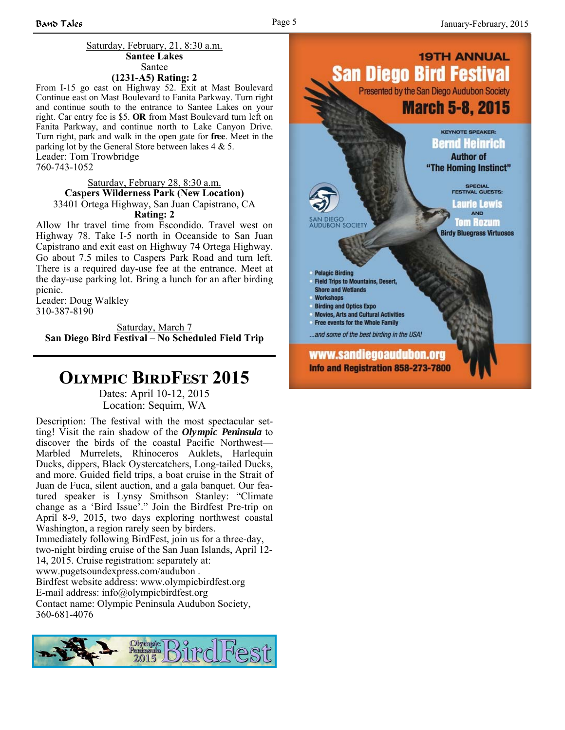#### Saturday, February, 21, 8:30 a.m. **Santee Lakes** Santee **(1231-A5) Rating: 2**

From I-15 go east on Highway 52. Exit at Mast Boulevard Continue east on Mast Boulevard to Fanita Parkway. Turn right and continue south to the entrance to Santee Lakes on your right. Car entry fee is \$5. **OR** from Mast Boulevard turn left on Fanita Parkway, and continue north to Lake Canyon Drive. Turn right, park and walk in the open gate for **free**. Meet in the parking lot by the General Store between lakes 4 & 5. Leader: Tom Trowbridge 760-743-1052

### Saturday, February 28, 8:30 a.m. **Caspers Wilderness Park (New Location)** 33401 Ortega Highway, San Juan Capistrano, CA **Rating: 2**

Allow 1hr travel time from Escondido. Travel west on Highway 78. Take I-5 north in Oceanside to San Juan Capistrano and exit east on Highway 74 Ortega Highway. Go about 7.5 miles to Caspers Park Road and turn left. There is a required day-use fee at the entrance. Meet at the day-use parking lot. Bring a lunch for an after birding picnic.

Leader: Doug Walkley 310-387-8190

Saturday, March 7 **San Diego Bird Festival – No Scheduled Field Trip**

# **OLYMPIC BIRDFEST 2015**

Dates: April 10-12, 2015 Location: Sequim, WA

Description: The festival with the most spectacular setting! Visit the rain shadow of the *Olympic Peninsula* to discover the birds of the coastal Pacific Northwest— Marbled Murrelets, Rhinoceros Auklets, Harlequin Ducks, dippers, Black Oystercatchers, Long-tailed Ducks, and more. Guided field trips, a boat cruise in the Strait of Juan de Fuca, silent auction, and a gala banquet. Our featured speaker is Lynsy Smithson Stanley: "Climate change as a 'Bird Issue'." Join the Birdfest Pre-trip on April 8-9, 2015, two days exploring northwest coastal Washington, a region rarely seen by birders.

Immediately following BirdFest, join us for a three-day, two-night birding cruise of the San Juan Islands, April 12- 14, 2015. Cruise registration: separately at: www.pugetsoundexpress.com/audubon .

Birdfest website address: www.olympicbirdfest.org E-mail address: info@olympicbirdfest.org

Contact name: Olympic Peninsula Audubon Society, 360-681-4076



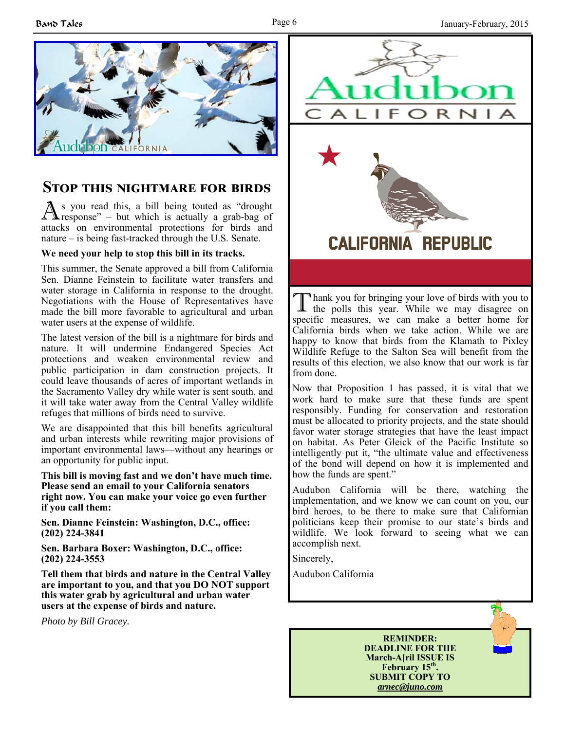

## **STOP THIS NIGHTMARE FOR BIRDS**

A s you read this, a bill being touted as "drought response" – but which is actually a grab-bag of attacks on environmental protections for birds and nature – is being fast-tracked through the U.S. Senate.

### **We need your help to stop this bill in its tracks.**

This summer, the Senate approved a bill from California Sen. Dianne Feinstein to facilitate water transfers and water storage in California in response to the drought. Negotiations with the House of Representatives have made the bill more favorable to agricultural and urban water users at the expense of wildlife.

The latest version of the bill is a nightmare for birds and nature. It will undermine Endangered Species Act protections and weaken environmental review and public participation in dam construction projects. It could leave thousands of acres of important wetlands in the Sacramento Valley dry while water is sent south, and it will take water away from the Central Valley wildlife refuges that millions of birds need to survive.

We are disappointed that this bill benefits agricultural and urban interests while rewriting major provisions of important environmental laws—without any hearings or an opportunity for public input.

**This bill is moving fast and we don't have much time. Please send an email to your California senators right now. You can make your voice go even further if you call them:**

**Sen. Dianne Feinstein: Washington, D.C., office: (202) 224-3841**

**Sen. Barbara Boxer: Washington, D.C., office: (202) 224-3553**

**Tell them that birds and nature in the Central Valley are important to you, and that you DO NOT support this water grab by agricultural and urban water users at the expense of birds and nature.**

*Photo by Bill Gracey.*



I hank you for bringing your love of birds with you to the polls this year. While we may disagree on specific measures, we can make a better home for California birds when we take action. While we are happy to know that birds from the Klamath to Pixley Wildlife Refuge to the Salton Sea will benefit from the results of this election, we also know that our work is far from done.

Now that Proposition 1 has passed, it is vital that we work hard to make sure that these funds are spent responsibly. Funding for conservation and restoration must be allocated to priority projects, and the state should favor water storage strategies that have the least impact on habitat. As Peter Gleick of the Pacific Institute so intelligently put it, "the ultimate value and effectiveness of the bond will depend on how it is implemented and how the funds are spent."

Audubon California will be there, watching the implementation, and we know we can count on you, our bird heroes, to be there to make sure that Californian politicians keep their promise to our state's birds and wildlife. We look forward to seeing what we can accomplish next.

Sincerely,

Audubon California

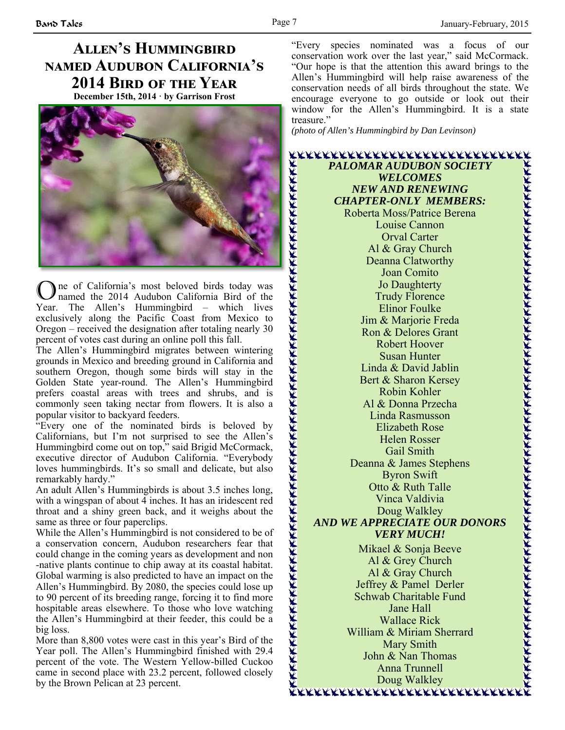## **ALLEN'S HUMMINGBIRD NAMED AUDUBON CALIFORNIA'S** 2014 Bird of the Year **December 15th, 2014 · by Garrison Frost**



O ne of California's most beloved birds today was named the 2014 Audubon California Bird of the Year. The Allen's Hummingbird – which lives exclusively along the Pacific Coast from Mexico to Oregon – received the designation after totaling nearly 30 percent of votes cast during an online poll this fall.

The Allen's Hummingbird migrates between wintering grounds in Mexico and breeding ground in California and southern Oregon, though some birds will stay in the Golden State year-round. The Allen's Hummingbird prefers coastal areas with trees and shrubs, and is commonly seen taking nectar from flowers. It is also a popular visitor to backyard feeders.

"Every one of the nominated birds is beloved by Californians, but I'm not surprised to see the Allen's Hummingbird come out on top," said Brigid McCormack, executive director of Audubon California. "Everybody loves hummingbirds. It's so small and delicate, but also remarkably hardy."

An adult Allen's Hummingbirds is about 3.5 inches long, with a wingspan of about 4 inches. It has an iridescent red throat and a shiny green back, and it weighs about the same as three or four paperclips.

While the Allen's Hummingbird is not considered to be of a conservation concern, Audubon researchers fear that could change in the coming years as development and non -native plants continue to chip away at its coastal habitat. Global warming is also predicted to have an impact on the Allen's Hummingbird. By 2080, the species could lose up to 90 percent of its breeding range, forcing it to find more hospitable areas elsewhere. To those who love watching the Allen's Hummingbird at their feeder, this could be a big loss.

More than 8,800 votes were cast in this year's Bird of the Year poll. The Allen's Hummingbird finished with 29.4 percent of the vote. The Western Yellow-billed Cuckoo came in second place with 23.2 percent, followed closely by the Brown Pelican at 23 percent.

"Every species nominated was a focus of our conservation work over the last year," said McCormack. "Our hope is that the attention this award brings to the Allen's Hummingbird will help raise awareness of the conservation needs of all birds throughout the state. We encourage everyone to go outside or look out their window for the Allen's Hummingbird. It is a state treasure."

*(photo of Allen's Hummingbird by Dan Levinson)*

*PALOMAR AUDUBON SOCIETY WELCOMES NEW AND RENEWING CHAPTER-ONLY MEMBERS:*  Roberta Moss/Patrice Berena Louise Cannon Orval Carter Al & Gray Church Deanna Clatworthy Joan Comito Jo Daughterty Trudy Florence Elinor Foulke Jim & Marjorie Freda Ron & Delores Grant Robert Hoover Susan Hunter Linda & David Jablin Bert & Sharon Kersey Robin Kohler Al & Donna Przecha Linda Rasmusson Elizabeth Rose Helen Rosser Gail Smith Deanna & James Stephens Byron Swift Otto & Ruth Talle Vinca Valdivia Doug Walkley *AND WE APPRECIATE OUR DONORS VERY MUCH!*  Mikael & Sonja Beeve Al & Grey Church Al & Gray Church Jeffrey & Pamel Derler Schwab Charitable Fund Jane Hall Wallace Rick William & Miriam Sherrard Mary Smith John & Nan Thomas Anna Trunnell Doug Walkley